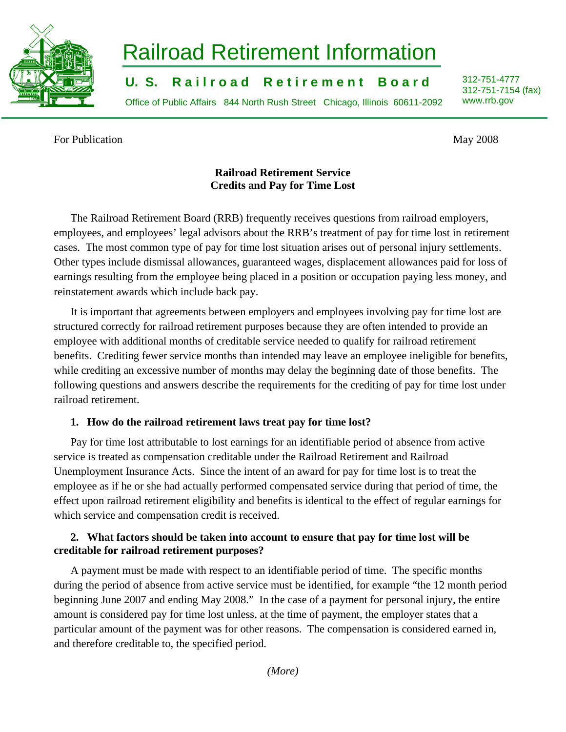

# Railroad Retirement Information

**U. S. Railroad Retirement Board** 312-751-4777

Office of Public Affairs 844 North Rush Street Chicago, Illinois 60611-2092 www.rrb.gov

312-751-7154 (fax)

For Publication May 2008

## **Railroad Retirement Service Credits and Pay for Time Lost**

The Railroad Retirement Board (RRB) frequently receives questions from railroad employers, employees, and employees' legal advisors about the RRB's treatment of pay for time lost in retirement cases. The most common type of pay for time lost situation arises out of personal injury settlements. Other types include dismissal allowances, guaranteed wages, displacement allowances paid for loss of earnings resulting from the employee being placed in a position or occupation paying less money, and reinstatement awards which include back pay.

It is important that agreements between employers and employees involving pay for time lost are structured correctly for railroad retirement purposes because they are often intended to provide an employee with additional months of creditable service needed to qualify for railroad retirement benefits. Crediting fewer service months than intended may leave an employee ineligible for benefits, while crediting an excessive number of months may delay the beginning date of those benefits. The following questions and answers describe the requirements for the crediting of pay for time lost under railroad retirement.

## **1. How do the railroad retirement laws treat pay for time lost?**

Pay for time lost attributable to lost earnings for an identifiable period of absence from active service is treated as compensation creditable under the Railroad Retirement and Railroad Unemployment Insurance Acts. Since the intent of an award for pay for time lost is to treat the employee as if he or she had actually performed compensated service during that period of time, the effect upon railroad retirement eligibility and benefits is identical to the effect of regular earnings for which service and compensation credit is received.

## **2. What factors should be taken into account to ensure that pay for time lost will be creditable for railroad retirement purposes?**

A payment must be made with respect to an identifiable period of time. The specific months during the period of absence from active service must be identified, for example "the 12 month period beginning June 2007 and ending May 2008." In the case of a payment for personal injury, the entire amount is considered pay for time lost unless, at the time of payment, the employer states that a particular amount of the payment was for other reasons. The compensation is considered earned in, and therefore creditable to, the specified period.

*(More)*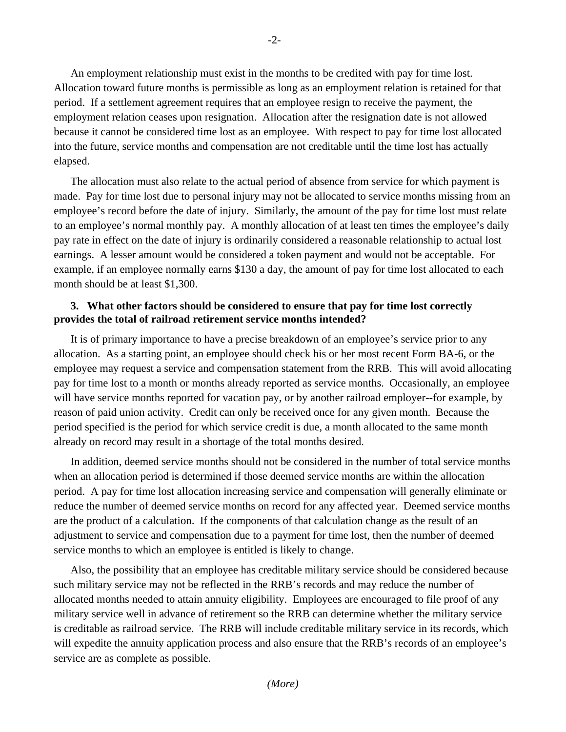An employment relationship must exist in the months to be credited with pay for time lost. Allocation toward future months is permissible as long as an employment relation is retained for that period. If a settlement agreement requires that an employee resign to receive the payment, the employment relation ceases upon resignation. Allocation after the resignation date is not allowed because it cannot be considered time lost as an employee. With respect to pay for time lost allocated into the future, service months and compensation are not creditable until the time lost has actually elapsed.

The allocation must also relate to the actual period of absence from service for which payment is made. Pay for time lost due to personal injury may not be allocated to service months missing from an employee's record before the date of injury. Similarly, the amount of the pay for time lost must relate to an employee's normal monthly pay. A monthly allocation of at least ten times the employee's daily pay rate in effect on the date of injury is ordinarily considered a reasonable relationship to actual lost earnings. A lesser amount would be considered a token payment and would not be acceptable. For example, if an employee normally earns \$130 a day, the amount of pay for time lost allocated to each month should be at least \$1,300.

#### **3. What other factors should be considered to ensure that pay for time lost correctly provides the total of railroad retirement service months intended?**

It is of primary importance to have a precise breakdown of an employee's service prior to any allocation. As a starting point, an employee should check his or her most recent Form BA-6, or the employee may request a service and compensation statement from the RRB. This will avoid allocating pay for time lost to a month or months already reported as service months. Occasionally, an employee will have service months reported for vacation pay, or by another railroad employer--for example, by reason of paid union activity. Credit can only be received once for any given month. Because the period specified is the period for which service credit is due, a month allocated to the same month already on record may result in a shortage of the total months desired.

In addition, deemed service months should not be considered in the number of total service months when an allocation period is determined if those deemed service months are within the allocation period. A pay for time lost allocation increasing service and compensation will generally eliminate or reduce the number of deemed service months on record for any affected year. Deemed service months are the product of a calculation. If the components of that calculation change as the result of an adjustment to service and compensation due to a payment for time lost, then the number of deemed service months to which an employee is entitled is likely to change.

Also, the possibility that an employee has creditable military service should be considered because such military service may not be reflected in the RRB's records and may reduce the number of allocated months needed to attain annuity eligibility. Employees are encouraged to file proof of any military service well in advance of retirement so the RRB can determine whether the military service is creditable as railroad service. The RRB will include creditable military service in its records, which will expedite the annuity application process and also ensure that the RRB's records of an employee's service are as complete as possible.